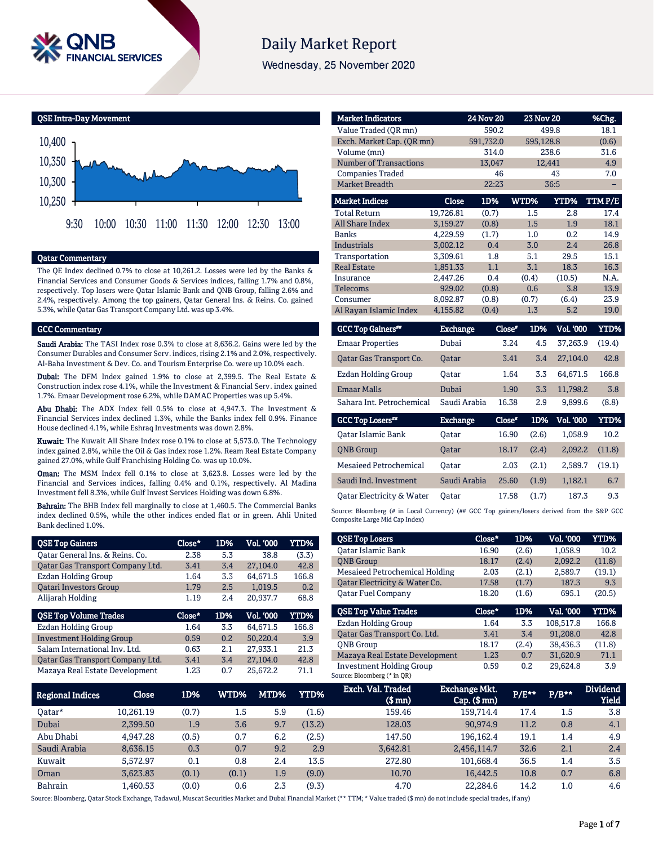

# **Daily Market Report**

Wednesday, 25 November 2020

GCC Top Losers\*\*

QSE Intra-Day Movement



#### Qatar Commentary

The QE Index declined 0.7% to close at 10,261.2. Losses were led by the Banks & Financial Services and Consumer Goods & Services indices, falling 1.7% and 0.8%, respectively. Top losers were Qatar Islamic Bank and QNB Group, falling 2.6% and 2.4%, respectively. Among the top gainers, Qatar General Ins. & Reins. Co. gained 5.3%, while Qatar Gas Transport Company Ltd. was up 3.4%.

#### GCC Commentary

Saudi Arabia: The TASI Index rose 0.3% to close at 8,636.2. Gains were led by the Consumer Durables and Consumer Serv. indices, rising 2.1% and 2.0%, respectively. Al-Baha Investment & Dev. Co. and Tourism Enterprise Co. were up 10.0% each.

Dubai: The DFM Index gained 1.9% to close at 2,399.5. The Real Estate & Construction index rose 4.1%, while the Investment & Financial Serv. index gained 1.7%. Emaar Development rose 6.2%, while DAMAC Properties was up 5.4%.

Abu Dhabi: The ADX Index fell 0.5% to close at 4,947.3. The Investment & Financial Services index declined 1.3%, while the Banks index fell 0.9%. Finance House declined 4.1%, while Eshraq Investments was down 2.8%.

Kuwait: The Kuwait All Share Index rose 0.1% to close at 5,573.0. The Technology index gained 2.8%, while the Oil & Gas index rose 1.2%. Ream Real Estate Company gained 27.0%, while Gulf Franchising Holding Co. was up 10.0%.

Oman: The MSM Index fell 0.1% to close at 3,623.8. Losses were led by the Financial and Services indices, falling 0.4% and 0.1%, respectively. Al Madina Investment fell 8.3%, while Gulf Invest Services Holding was down 6.8%.

Bahrain: The BHB Index fell marginally to close at 1,460.5. The Commercial Banks index declined 0.5%, while the other indices ended flat or in green. Ahli United Bank declined 1.0%.

| <b>QSE Top Gainers</b>           | Close* | 1D% | Vol. '000        | <b>YTD%</b> |
|----------------------------------|--------|-----|------------------|-------------|
| Oatar General Ins. & Reins. Co.  | 2.38   | 5.3 | 38.8             | (3.3)       |
| Qatar Gas Transport Company Ltd. | 3.41   | 3.4 | 27,104.0         | 42.8        |
| <b>Ezdan Holding Group</b>       | 1.64   | 3.3 | 64,671.5         | 166.8       |
| <b>Oatari Investors Group</b>    | 1.79   | 2.5 | 1,019.5          | 0.2         |
| Alijarah Holding                 | 1.19   | 2.4 | 20,937.7         | 68.8        |
|                                  |        |     |                  |             |
| <b>QSE Top Volume Trades</b>     | Close* | 1D% | <b>Vol. '000</b> | <b>YTD%</b> |
| Ezdan Holding Group              | 1.64   | 3.3 | 64.671.5         | 166.8       |
| <b>Investment Holding Group</b>  | 0.59   | 0.2 | 50,220.4         | 3.9         |
| Salam International Inv. Ltd.    | 0.63   | 2.1 | 27,933.1         | 21.3        |
| Qatar Gas Transport Company Ltd. | 3.41   | 3.4 | 27,104.0         | 42.8        |

| <b>Market Indicators</b>      |                 | <b>24 Nov 20</b> | <b>23 Nov 20</b> |             | %Chg.       |
|-------------------------------|-----------------|------------------|------------------|-------------|-------------|
| Value Traded (QR mn)          |                 | 590.2            |                  | 499.8       | 18.1        |
| Exch. Market Cap. (QR mn)     |                 | 591,732.0        | 595,128.8        |             | (0.6)       |
| Volume (mn)                   |                 | 314.0            |                  | 238.6       | 31.6        |
| <b>Number of Transactions</b> |                 | 13,047           |                  | 12,441      | 4.9         |
| <b>Companies Traded</b>       |                 | 46               |                  | 43          | 7.0         |
| <b>Market Breadth</b>         |                 | 22:23            |                  | 36:5        |             |
| <b>Market Indices</b>         | <b>Close</b>    | 1D%              | WTD%             | <b>YTD%</b> | TTM P/E     |
| <b>Total Return</b>           | 19,726.81       | (0.7)            | 1.5              | 2.8         | 17.4        |
| All Share Index               | 3,159.27        | (0.8)            | 1.5              | 1.9         | 18.1        |
| <b>Banks</b>                  | 4,229.59        | (1.7)            | 1.0              | 0.2         | 14.9        |
| <b>Industrials</b>            | 3,002.12        | 0.4              | 3.0              | 2.4         | 26.8        |
| Transportation                | 3,309.61        | 1.8              | 5.1              | 29.5        | 15.1        |
| <b>Real Estate</b>            | 1,851.33        | 1.1              | 3.1              | 18.3        | 16.3        |
| Insurance                     | 2,447.26        | 0.4              | (0.4)            | (10.5)      | N.A.        |
| <b>Telecoms</b>               | 929.02          | (0.8)            | 0.6              | 3.8         | 13.9        |
| Consumer                      | 8,092.87        | (0.8)            | (0.7)            | (6.4)       | 23.9        |
| Al Rayan Islamic Index        | 4,155.82        | (0.4)            | 1.3              | 5.2         | 19.0        |
| <b>GCC Top Gainers**</b>      | <b>Exchange</b> |                  | Close*<br>1D%    | Vol. '000   | <b>YTD%</b> |
| <b>Emaar Properties</b>       | Dubai           |                  | 3.24<br>4.5      | 37,263.9    | (19.4)      |
| Qatar Gas Transport Co.       | Qatar           |                  | 3.41<br>3.4      | 27,104.0    | 42.8        |
| <b>Ezdan Holding Group</b>    | Oatar           |                  | 1.64<br>3.3      | 64,671.5    | 166.8       |

Qatar Electricity & Water Qatar 17.58 (1.7) 187.3 9.3 Source: Bloomberg (# in Local Currency) (## GCC Top gainers/losers derived from the S&P GCC Composite Large Mid Cap Index)

Emaar Malls Dubai 1.90 3.3 11,798.2 3.8 Sahara Int. Petrochemical Saudi Arabia 16.38 2.9 9,899.6 (8.8)

Exchange Close#

Qatar Islamic Bank Qatar 16.90 (2.6) 1,058.9 10.2 QNB Group Qatar 18.17 (2.4) 2,092.2 (11.8) Mesaieed Petrochemical Qatar 2.03 (2.1) 2,589.7 (19.1) Saudi Ind. Investment Saudi Arabia 25.60 (1.9) 1,182.1 6.7

1D% Vol. '000 YTD%

| <b>OSE Top Losers</b>                 | Close* | 1D%   | Vol. '000 | YTD%   |
|---------------------------------------|--------|-------|-----------|--------|
| Qatar Islamic Bank                    | 16.90  | (2.6) | 1,058.9   | 10.2   |
| <b>ONB</b> Group                      | 18.17  | (2.4) | 2,092.2   | (11.8) |
| <b>Mesaieed Petrochemical Holding</b> | 2.03   | (2.1) | 2,589.7   | (19.1) |
| Qatar Electricity & Water Co.         | 17.58  | (1.7) | 187.3     | 9.3    |
| <b>Oatar Fuel Company</b>             | 18.20  | (1.6) | 695.1     | (20.5) |
| <b>QSE Top Value Trades</b>           | Close* | 1D%   | Val. '000 | YTD%   |
| <b>Ezdan Holding Group</b>            | 1.64   | 3.3   | 108.517.8 | 166.8  |
| Oatar Gas Transport Co. Ltd.          | 3.41   | 3.4   | 91.208.0  | 42.8   |
| <b>ONB</b> Group                      | 18.17  | (2.4) | 38,436.3  | (11.8) |
| Mazaya Real Estate Development        | 1.23   | 0.7   | 31.620.9  | 71.1   |

Investment Holding Group 0.59 0.2 29,624.8 3.9

| <b>Regional Indices</b> | Close     | 1D%   | WTD%  | MTD% | <b>YTD%</b> | Exch. Val. Traded<br>(\$ mn) | <b>Exchange Mkt.</b><br>$Cap.$ (\$ mn) | $P/E**$ | $P/B***$ | <b>Dividend</b><br><b>Yield</b> |
|-------------------------|-----------|-------|-------|------|-------------|------------------------------|----------------------------------------|---------|----------|---------------------------------|
| Oatar*                  | 10.261.19 | (0.7) | 1.5   | 5.9  | (1.6)       | 159.46                       | 159.714.4                              | 17.4    | 1.5      | 3.8                             |
| Dubai                   | 2,399.50  | 1.9   | 3.6   | 9.7  | (13.2)      | 128.03                       | 90.974.9                               | 11.2    | 0.8      | 4.1                             |
| Abu Dhabi               | 4.947.28  | (0.5) | 0.7   | 6.2  | (2.5)       | 147.50                       | 196.162.4                              | 19.1    | 1.4      | 4.9                             |
| Saudi Arabia            | 8.636.15  | 0.3   | 0.7   | 9.2  | 2.9         | 3.642.81                     | 2,456,114.7                            | 32.6    | 2.1      | 2.4                             |
| Kuwait                  | 5.572.97  | 0.1   | 0.8   | 2.4  | 13.5        | 272.80                       | 101.668.4                              | 36.5    | 1.4      | 3.5                             |
| Oman                    | 3.623.83  | (0.1) | (0.1) | 1.9  | (9.0)       | 10.70                        | 16.442.5                               | 10.8    | 0.7      | 6.8                             |
| <b>Bahrain</b>          | .460.53   | (0.0) | 0.6   | 2.3  | (9.3)       | 4.70                         | 22,284.6                               | 14.2    | 1.0      | 4.6                             |

Source: Bloomberg (\* in QR)

Source: Bloomberg, Qatar Stock Exchange, Tadawul, Muscat Securities Market and Dubai Financial Market (\*\* TTM; \* Value traded (\$ mn) do not include special trades, if any)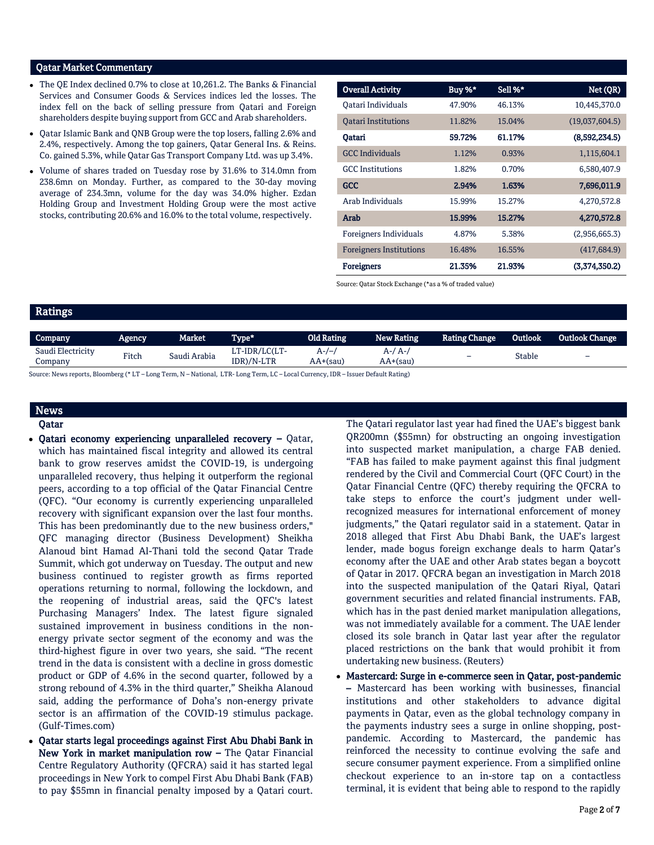### Qatar Market Commentary

- The QE Index declined 0.7% to close at 10,261.2. The Banks & Financial Services and Consumer Goods & Services indices led the losses. The index fell on the back of selling pressure from Qatari and Foreign shareholders despite buying support from GCC and Arab shareholders.
- Qatar Islamic Bank and QNB Group were the top losers, falling 2.6% and 2.4%, respectively. Among the top gainers, Qatar General Ins. & Reins. Co. gained 5.3%, while Qatar Gas Transport Company Ltd. was up 3.4%.
- Volume of shares traded on Tuesday rose by 31.6% to 314.0mn from 238.6mn on Monday. Further, as compared to the 30-day moving average of 234.3mn, volume for the day was 34.0% higher. Ezdan Holding Group and Investment Holding Group were the most active stocks, contributing 20.6% and 16.0% to the total volume, respectively.

| <b>Overall Activity</b>        | Buy %* | Sell %* | Net (QR)       |
|--------------------------------|--------|---------|----------------|
| Oatari Individuals             | 47.90% | 46.13%  | 10,445,370.0   |
| <b>Oatari Institutions</b>     | 11.82% | 15.04%  | (19,037,604.5) |
| Qatari                         | 59.72% | 61.17%  | (8,592,234.5)  |
| <b>GCC</b> Individuals         | 1.12%  | 0.93%   | 1,115,604.1    |
| <b>GCC</b> Institutions        | 1.82%  | 0.70%   | 6,580,407.9    |
| <b>GCC</b>                     | 2.94%  | 1.63%   | 7,696,011.9    |
| Arab Individuals               | 15.99% | 15.27%  | 4,270,572.8    |
| Arab                           | 15.99% | 15.27%  | 4,270,572.8    |
| Foreigners Individuals         | 4.87%  | 5.38%   | (2,956,665.3)  |
| <b>Foreigners Institutions</b> | 16.48% | 16.55%  | (417, 684.9)   |
| Foreigners                     | 21.35% | 21.93%  | (3.374.350.2)  |

Source: Qatar Stock Exchange (\*as a % of traded value)

# Ratings

| <b>Company</b>               | Agency. | Market .     | Type*                       | <b>Old Rating</b>   | <b>New Rating</b>   | <b>Rating Change</b> | Outlook | <b>Outlook Change</b> |
|------------------------------|---------|--------------|-----------------------------|---------------------|---------------------|----------------------|---------|-----------------------|
| Saudi Electricity<br>Company | Fitch   | Saudi Arabia | LT-IDR/LC(LT-<br>IDR)/N-LTR | A-/-.<br>$AA+(sau)$ | A-/ A-,<br>AA+(sau) | -                    | Stable  | $\qquad \qquad -$     |

Source: News reports, Bloomberg (\* LT – Long Term, N – National, LTR- Long Term, LC – Local Currency, IDR – Issuer Default Rating)

# News Qatar

- Qatari economy experiencing unparalleled recovery Qatar, which has maintained fiscal integrity and allowed its central bank to grow reserves amidst the COVID-19, is undergoing unparalleled recovery, thus helping it outperform the regional peers, according to a top official of the Qatar Financial Centre (QFC). "Our economy is currently experiencing unparalleled recovery with significant expansion over the last four months. This has been predominantly due to the new business orders," QFC managing director (Business Development) Sheikha Alanoud bint Hamad Al-Thani told the second Qatar Trade Summit, which got underway on Tuesday. The output and new business continued to register growth as firms reported operations returning to normal, following the lockdown, and the reopening of industrial areas, said the QFC's latest Purchasing Managers' Index. The latest figure signaled sustained improvement in business conditions in the nonenergy private sector segment of the economy and was the third-highest figure in over two years, she said. "The recent trend in the data is consistent with a decline in gross domestic product or GDP of 4.6% in the second quarter, followed by a strong rebound of 4.3% in the third quarter," Sheikha Alanoud said, adding the performance of Doha's non-energy private sector is an affirmation of the COVID-19 stimulus package. (Gulf-Times.com)
- Qatar starts legal proceedings against First Abu Dhabi Bank in New York in market manipulation row – The Qatar Financial Centre Regulatory Authority (QFCRA) said it has started legal proceedings in New York to compel First Abu Dhabi Bank (FAB) to pay \$55mn in financial penalty imposed by a Qatari court.

The Qatari regulator last year had fined the UAE's biggest bank QR200mn (\$55mn) for obstructing an ongoing investigation into suspected market manipulation, a charge FAB denied. "FAB has failed to make payment against this final judgment rendered by the Civil and Commercial Court (QFC Court) in the Qatar Financial Centre (QFC) thereby requiring the QFCRA to take steps to enforce the court's judgment under wellrecognized measures for international enforcement of money judgments," the Qatari regulator said in a statement. Qatar in 2018 alleged that First Abu Dhabi Bank, the UAE's largest lender, made bogus foreign exchange deals to harm Qatar's economy after the UAE and other Arab states began a boycott of Qatar in 2017. QFCRA began an investigation in March 2018 into the suspected manipulation of the Qatari Riyal, Qatari government securities and related financial instruments. FAB, which has in the past denied market manipulation allegations, was not immediately available for a comment. The UAE lender closed its sole branch in Qatar last year after the regulator placed restrictions on the bank that would prohibit it from undertaking new business. (Reuters)

 Mastercard: Surge in e-commerce seen in Qatar, post-pandemic – Mastercard has been working with businesses, financial institutions and other stakeholders to advance digital payments in Qatar, even as the global technology company in the payments industry sees a surge in online shopping, postpandemic. According to Mastercard, the pandemic has reinforced the necessity to continue evolving the safe and secure consumer payment experience. From a simplified online checkout experience to an in-store tap on a contactless terminal, it is evident that being able to respond to the rapidly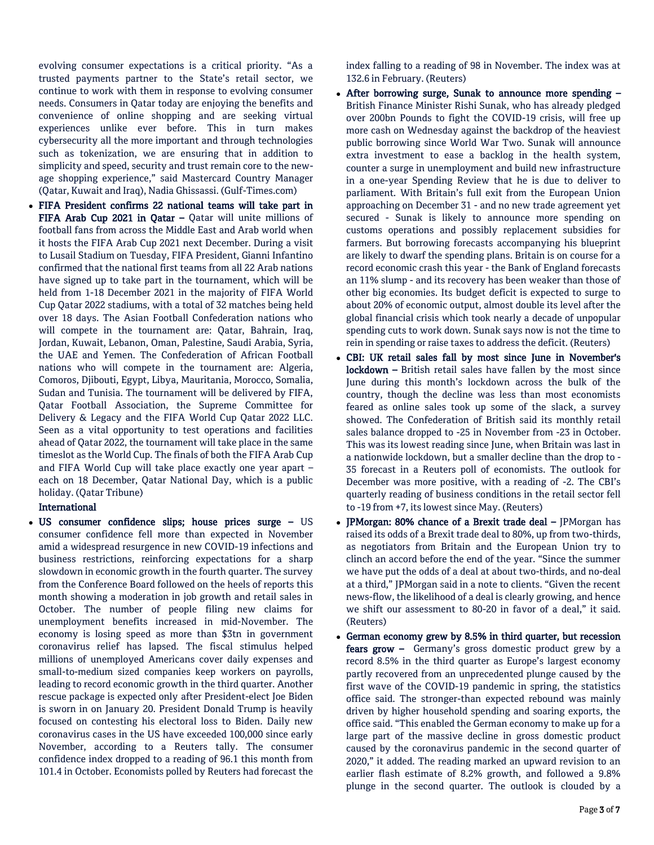evolving consumer expectations is a critical priority. "As a trusted payments partner to the State's retail sector, we continue to work with them in response to evolving consumer needs. Consumers in Qatar today are enjoying the benefits and convenience of online shopping and are seeking virtual experiences unlike ever before. This in turn makes cybersecurity all the more important and through technologies such as tokenization, we are ensuring that in addition to simplicity and speed, security and trust remain core to the newage shopping experience," said Mastercard Country Manager (Qatar, Kuwait and Iraq), Nadia Ghissassi. (Gulf-Times.com)

 FIFA President confirms 22 national teams will take part in FIFA Arab Cup 2021 in Qatar – Qatar will unite millions of football fans from across the Middle East and Arab world when it hosts the FIFA Arab Cup 2021 next December. During a visit to Lusail Stadium on Tuesday, FIFA President, Gianni Infantino confirmed that the national first teams from all 22 Arab nations have signed up to take part in the tournament, which will be held from 1-18 December 2021 in the majority of FIFA World Cup Qatar 2022 stadiums, with a total of 32 matches being held over 18 days. The Asian Football Confederation nations who will compete in the tournament are: Qatar, Bahrain, Iraq, Jordan, Kuwait, Lebanon, Oman, Palestine, Saudi Arabia, Syria, the UAE and Yemen. The Confederation of African Football nations who will compete in the tournament are: Algeria, Comoros, Djibouti, Egypt, Libya, Mauritania, Morocco, Somalia, Sudan and Tunisia. The tournament will be delivered by FIFA, Qatar Football Association, the Supreme Committee for Delivery & Legacy and the FIFA World Cup Qatar 2022 LLC. Seen as a vital opportunity to test operations and facilities ahead of Qatar 2022, the tournament will take place in the same timeslot as the World Cup. The finals of both the FIFA Arab Cup and FIFA World Cup will take place exactly one year apart – each on 18 December, Qatar National Day, which is a public holiday. (Qatar Tribune)

## International

 US consumer confidence slips; house prices surge – US consumer confidence fell more than expected in November amid a widespread resurgence in new COVID-19 infections and business restrictions, reinforcing expectations for a sharp slowdown in economic growth in the fourth quarter. The survey from the Conference Board followed on the heels of reports this month showing a moderation in job growth and retail sales in October. The number of people filing new claims for unemployment benefits increased in mid-November. The economy is losing speed as more than \$3tn in government coronavirus relief has lapsed. The fiscal stimulus helped millions of unemployed Americans cover daily expenses and small-to-medium sized companies keep workers on payrolls, leading to record economic growth in the third quarter. Another rescue package is expected only after President-elect Joe Biden is sworn in on January 20. President Donald Trump is heavily focused on contesting his electoral loss to Biden. Daily new coronavirus cases in the US have exceeded 100,000 since early November, according to a Reuters tally. The consumer confidence index dropped to a reading of 96.1 this month from 101.4 in October. Economists polled by Reuters had forecast the

index falling to a reading of 98 in November. The index was at 132.6 in February. (Reuters)

- After borrowing surge, Sunak to announce more spending British Finance Minister Rishi Sunak, who has already pledged over 200bn Pounds to fight the COVID-19 crisis, will free up more cash on Wednesday against the backdrop of the heaviest public borrowing since World War Two. Sunak will announce extra investment to ease a backlog in the health system, counter a surge in unemployment and build new infrastructure in a one-year Spending Review that he is due to deliver to parliament. With Britain's full exit from the European Union approaching on December 31 - and no new trade agreement yet secured - Sunak is likely to announce more spending on customs operations and possibly replacement subsidies for farmers. But borrowing forecasts accompanying his blueprint are likely to dwarf the spending plans. Britain is on course for a record economic crash this year - the Bank of England forecasts an 11% slump - and its recovery has been weaker than those of other big economies. Its budget deficit is expected to surge to about 20% of economic output, almost double its level after the global financial crisis which took nearly a decade of unpopular spending cuts to work down. Sunak says now is not the time to rein in spending or raise taxes to address the deficit. (Reuters)
- CBI: UK retail sales fall by most since June in November's lockdown – British retail sales have fallen by the most since June during this month's lockdown across the bulk of the country, though the decline was less than most economists feared as online sales took up some of the slack, a survey showed. The Confederation of British said its monthly retail sales balance dropped to -25 in November from -23 in October. This was its lowest reading since June, when Britain was last in a nationwide lockdown, but a smaller decline than the drop to - 35 forecast in a Reuters poll of economists. The outlook for December was more positive, with a reading of -2. The CBI's quarterly reading of business conditions in the retail sector fell to -19 from +7, its lowest since May. (Reuters)
- JPMorgan: 80% chance of a Brexit trade deal JPMorgan has raised its odds of a Brexit trade deal to 80%, up from two-thirds, as negotiators from Britain and the European Union try to clinch an accord before the end of the year. "Since the summer we have put the odds of a deal at about two-thirds, and no-deal at a third," JPMorgan said in a note to clients. "Given the recent news-flow, the likelihood of a deal is clearly growing, and hence we shift our assessment to 80-20 in favor of a deal," it said. (Reuters)
- German economy grew by 8.5% in third quarter, but recession fears grow - Germany's gross domestic product grew by a record 8.5% in the third quarter as Europe's largest economy partly recovered from an unprecedented plunge caused by the first wave of the COVID-19 pandemic in spring, the statistics office said. The stronger-than expected rebound was mainly driven by higher household spending and soaring exports, the office said. "This enabled the German economy to make up for a large part of the massive decline in gross domestic product caused by the coronavirus pandemic in the second quarter of 2020," it added. The reading marked an upward revision to an earlier flash estimate of 8.2% growth, and followed a 9.8% plunge in the second quarter. The outlook is clouded by a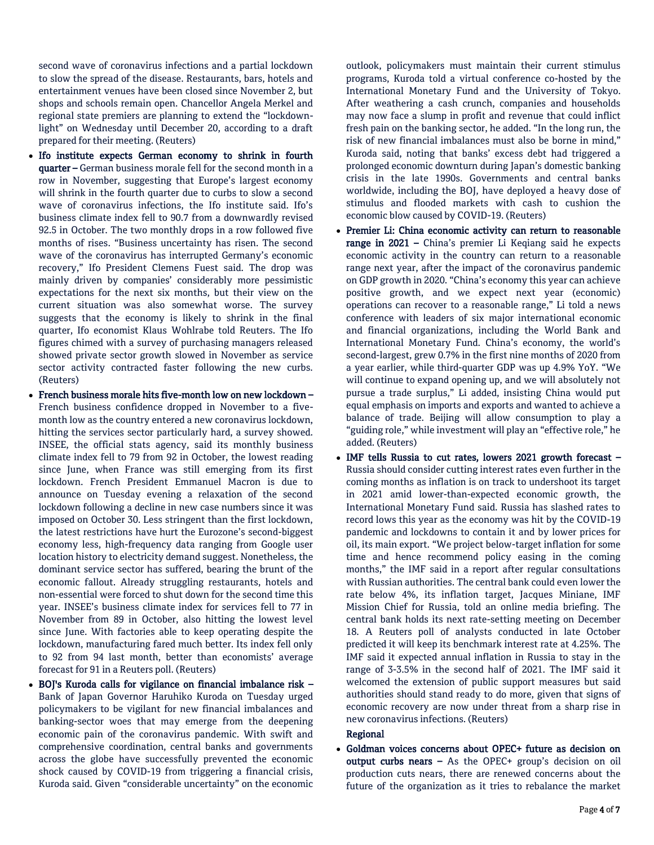second wave of coronavirus infections and a partial lockdown to slow the spread of the disease. Restaurants, bars, hotels and entertainment venues have been closed since November 2, but shops and schools remain open. Chancellor Angela Merkel and regional state premiers are planning to extend the "lockdownlight" on Wednesday until December 20, according to a draft prepared for their meeting. (Reuters)

- Ifo institute expects German economy to shrink in fourth quarter – German business morale fell for the second month in a row in November, suggesting that Europe's largest economy will shrink in the fourth quarter due to curbs to slow a second wave of coronavirus infections, the Ifo institute said. Ifo's business climate index fell to 90.7 from a downwardly revised 92.5 in October. The two monthly drops in a row followed five months of rises. "Business uncertainty has risen. The second wave of the coronavirus has interrupted Germany's economic recovery," Ifo President Clemens Fuest said. The drop was mainly driven by companies' considerably more pessimistic expectations for the next six months, but their view on the current situation was also somewhat worse. The survey suggests that the economy is likely to shrink in the final quarter, Ifo economist Klaus Wohlrabe told Reuters. The Ifo figures chimed with a survey of purchasing managers released showed private sector growth slowed in November as service sector activity contracted faster following the new curbs. (Reuters)
- French business morale hits five-month low on new lockdown French business confidence dropped in November to a fivemonth low as the country entered a new coronavirus lockdown, hitting the services sector particularly hard, a survey showed. INSEE, the official stats agency, said its monthly business climate index fell to 79 from 92 in October, the lowest reading since June, when France was still emerging from its first lockdown. French President Emmanuel Macron is due to announce on Tuesday evening a relaxation of the second lockdown following a decline in new case numbers since it was imposed on October 30. Less stringent than the first lockdown, the latest restrictions have hurt the Eurozone's second-biggest economy less, high-frequency data ranging from Google user location history to electricity demand suggest. Nonetheless, the dominant service sector has suffered, bearing the brunt of the economic fallout. Already struggling restaurants, hotels and non-essential were forced to shut down for the second time this year. INSEE's business climate index for services fell to 77 in November from 89 in October, also hitting the lowest level since June. With factories able to keep operating despite the lockdown, manufacturing fared much better. Its index fell only to 92 from 94 last month, better than economists' average forecast for 91 in a Reuters poll. (Reuters)
- BOJ's Kuroda calls for vigilance on financial imbalance risk Bank of Japan Governor Haruhiko Kuroda on Tuesday urged policymakers to be vigilant for new financial imbalances and banking-sector woes that may emerge from the deepening economic pain of the coronavirus pandemic. With swift and comprehensive coordination, central banks and governments across the globe have successfully prevented the economic shock caused by COVID-19 from triggering a financial crisis, Kuroda said. Given "considerable uncertainty" on the economic

outlook, policymakers must maintain their current stimulus programs, Kuroda told a virtual conference co-hosted by the International Monetary Fund and the University of Tokyo. After weathering a cash crunch, companies and households may now face a slump in profit and revenue that could inflict fresh pain on the banking sector, he added. "In the long run, the risk of new financial imbalances must also be borne in mind," Kuroda said, noting that banks' excess debt had triggered a prolonged economic downturn during Japan's domestic banking crisis in the late 1990s. Governments and central banks worldwide, including the BOJ, have deployed a heavy dose of stimulus and flooded markets with cash to cushion the economic blow caused by COVID-19. (Reuters)

- Premier Li: China economic activity can return to reasonable range in 2021 – China's premier Li Keqiang said he expects economic activity in the country can return to a reasonable range next year, after the impact of the coronavirus pandemic on GDP growth in 2020. "China's economy this year can achieve positive growth, and we expect next year (economic) operations can recover to a reasonable range," Li told a news conference with leaders of six major international economic and financial organizations, including the World Bank and International Monetary Fund. China's economy, the world's second-largest, grew 0.7% in the first nine months of 2020 from a year earlier, while third-quarter GDP was up 4.9% YoY. "We will continue to expand opening up, and we will absolutely not pursue a trade surplus," Li added, insisting China would put equal emphasis on imports and exports and wanted to achieve a balance of trade. Beijing will allow consumption to play a "guiding role," while investment will play an "effective role," he added. (Reuters)
- IMF tells Russia to cut rates, lowers 2021 growth forecast Russia should consider cutting interest rates even further in the coming months as inflation is on track to undershoot its target in 2021 amid lower-than-expected economic growth, the International Monetary Fund said. Russia has slashed rates to record lows this year as the economy was hit by the COVID-19 pandemic and lockdowns to contain it and by lower prices for oil, its main export. "We project below-target inflation for some time and hence recommend policy easing in the coming months," the IMF said in a report after regular consultations with Russian authorities. The central bank could even lower the rate below 4%, its inflation target, Jacques Miniane, IMF Mission Chief for Russia, told an online media briefing. The central bank holds its next rate-setting meeting on December 18. A Reuters poll of analysts conducted in late October predicted it will keep its benchmark interest rate at 4.25%. The IMF said it expected annual inflation in Russia to stay in the range of 3-3.5% in the second half of 2021. The IMF said it welcomed the extension of public support measures but said authorities should stand ready to do more, given that signs of economic recovery are now under threat from a sharp rise in new coronavirus infections. (Reuters)

#### Regional

 Goldman voices concerns about OPEC+ future as decision on output curbs nears  $-$  As the OPEC+ group's decision on oil production cuts nears, there are renewed concerns about the future of the organization as it tries to rebalance the market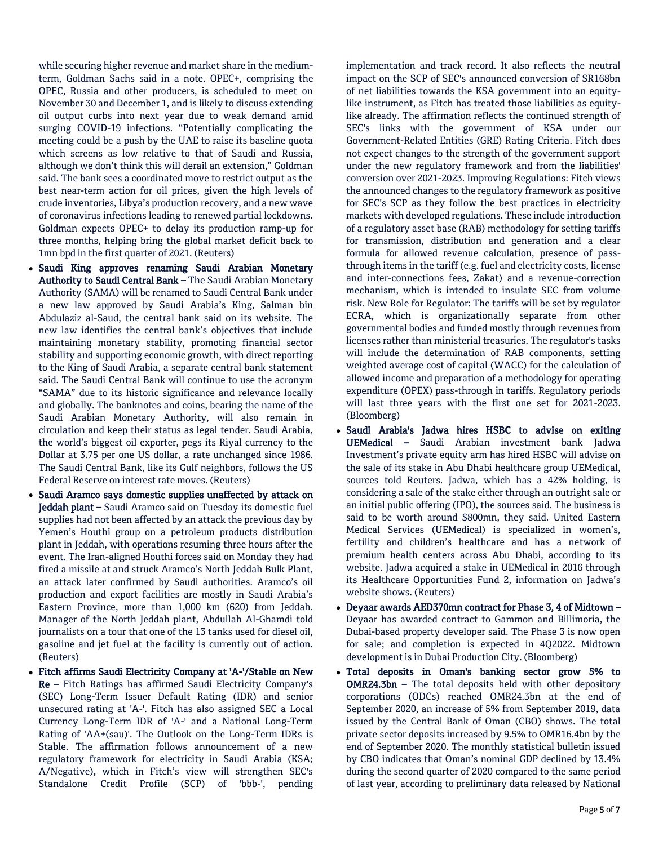while securing higher revenue and market share in the mediumterm, Goldman Sachs said in a note. OPEC+, comprising the OPEC, Russia and other producers, is scheduled to meet on November 30 and December 1, and is likely to discuss extending oil output curbs into next year due to weak demand amid surging COVID-19 infections. "Potentially complicating the meeting could be a push by the UAE to raise its baseline quota which screens as low relative to that of Saudi and Russia, although we don't think this will derail an extension," Goldman said. The bank sees a coordinated move to restrict output as the best near-term action for oil prices, given the high levels of crude inventories, Libya's production recovery, and a new wave of coronavirus infections leading to renewed partial lockdowns. Goldman expects OPEC+ to delay its production ramp-up for three months, helping bring the global market deficit back to 1mn bpd in the first quarter of 2021. (Reuters)

- Saudi King approves renaming Saudi Arabian Monetary Authority to Saudi Central Bank - The Saudi Arabian Monetary Authority (SAMA) will be renamed to Saudi Central Bank under a new law approved by Saudi Arabia's King, Salman bin Abdulaziz al-Saud, the central bank said on its website. The new law identifies the central bank's objectives that include maintaining monetary stability, promoting financial sector stability and supporting economic growth, with direct reporting to the King of Saudi Arabia, a separate central bank statement said. The Saudi Central Bank will continue to use the acronym "SAMA" due to its historic significance and relevance locally and globally. The banknotes and coins, bearing the name of the Saudi Arabian Monetary Authority, will also remain in circulation and keep their status as legal tender. Saudi Arabia, the world's biggest oil exporter, pegs its Riyal currency to the Dollar at 3.75 per one US dollar, a rate unchanged since 1986. The Saudi Central Bank, like its Gulf neighbors, follows the US Federal Reserve on interest rate moves. (Reuters)
- Saudi Aramco says domestic supplies unaffected by attack on Jeddah plant – Saudi Aramco said on Tuesday its domestic fuel supplies had not been affected by an attack the previous day by Yemen's Houthi group on a petroleum products distribution plant in Jeddah, with operations resuming three hours after the event. The Iran-aligned Houthi forces said on Monday they had fired a missile at and struck Aramco's North Jeddah Bulk Plant, an attack later confirmed by Saudi authorities. Aramco's oil production and export facilities are mostly in Saudi Arabia's Eastern Province, more than 1,000 km (620) from Jeddah. Manager of the North Jeddah plant, Abdullah Al-Ghamdi told journalists on a tour that one of the 13 tanks used for diesel oil, gasoline and jet fuel at the facility is currently out of action. (Reuters)
- Fitch affirms Saudi Electricity Company at 'A-'/Stable on New Re – Fitch Ratings has affirmed Saudi Electricity Company's (SEC) Long-Term Issuer Default Rating (IDR) and senior unsecured rating at 'A-'. Fitch has also assigned SEC a Local Currency Long-Term IDR of 'A-' and a National Long-Term Rating of 'AA+(sau)'. The Outlook on the Long-Term IDRs is Stable. The affirmation follows announcement of a new regulatory framework for electricity in Saudi Arabia (KSA; A/Negative), which in Fitch's view will strengthen SEC's Standalone Credit Profile (SCP) of 'bbb-', pending

implementation and track record. It also reflects the neutral impact on the SCP of SEC's announced conversion of SR168bn of net liabilities towards the KSA government into an equitylike instrument, as Fitch has treated those liabilities as equitylike already. The affirmation reflects the continued strength of SEC's links with the government of KSA under our Government-Related Entities (GRE) Rating Criteria. Fitch does not expect changes to the strength of the government support under the new regulatory framework and from the liabilities' conversion over 2021-2023. Improving Regulations: Fitch views the announced changes to the regulatory framework as positive for SEC's SCP as they follow the best practices in electricity markets with developed regulations. These include introduction of a regulatory asset base (RAB) methodology for setting tariffs for transmission, distribution and generation and a clear formula for allowed revenue calculation, presence of passthrough items in the tariff (e.g. fuel and electricity costs, license and inter-connections fees, Zakat) and a revenue-correction mechanism, which is intended to insulate SEC from volume risk. New Role for Regulator: The tariffs will be set by regulator ECRA, which is organizationally separate from other governmental bodies and funded mostly through revenues from licenses rather than ministerial treasuries. The regulator's tasks will include the determination of RAB components, setting weighted average cost of capital (WACC) for the calculation of allowed income and preparation of a methodology for operating expenditure (OPEX) pass-through in tariffs. Regulatory periods will last three years with the first one set for 2021-2023. (Bloomberg)

- Saudi Arabia's Jadwa hires HSBC to advise on exiting UEMedical – Saudi Arabian investment bank Jadwa Investment's private equity arm has hired HSBC will advise on the sale of its stake in Abu Dhabi healthcare group UEMedical, sources told Reuters. Jadwa, which has a 42% holding, is considering a sale of the stake either through an outright sale or an initial public offering (IPO), the sources said. The business is said to be worth around \$800mn, they said. United Eastern Medical Services (UEMedical) is specialized in women's, fertility and children's healthcare and has a network of premium health centers across Abu Dhabi, according to its website. Jadwa acquired a stake in UEMedical in 2016 through its Healthcare Opportunities Fund 2, information on Jadwa's website shows. (Reuters)
- Deyaar awards AED370mn contract for Phase 3, 4 of Midtown Deyaar has awarded contract to Gammon and Billimoria, the Dubai-based property developer said. The Phase 3 is now open for sale; and completion is expected in 4Q2022. Midtown development is in Dubai Production City. (Bloomberg)
- Total deposits in Oman's banking sector grow 5% to **OMR24.3bn** – The total deposits held with other depository corporations (ODCs) reached OMR24.3bn at the end of September 2020, an increase of 5% from September 2019, data issued by the Central Bank of Oman (CBO) shows. The total private sector deposits increased by 9.5% to OMR16.4bn by the end of September 2020. The monthly statistical bulletin issued by CBO indicates that Oman's nominal GDP declined by 13.4% during the second quarter of 2020 compared to the same period of last year, according to preliminary data released by National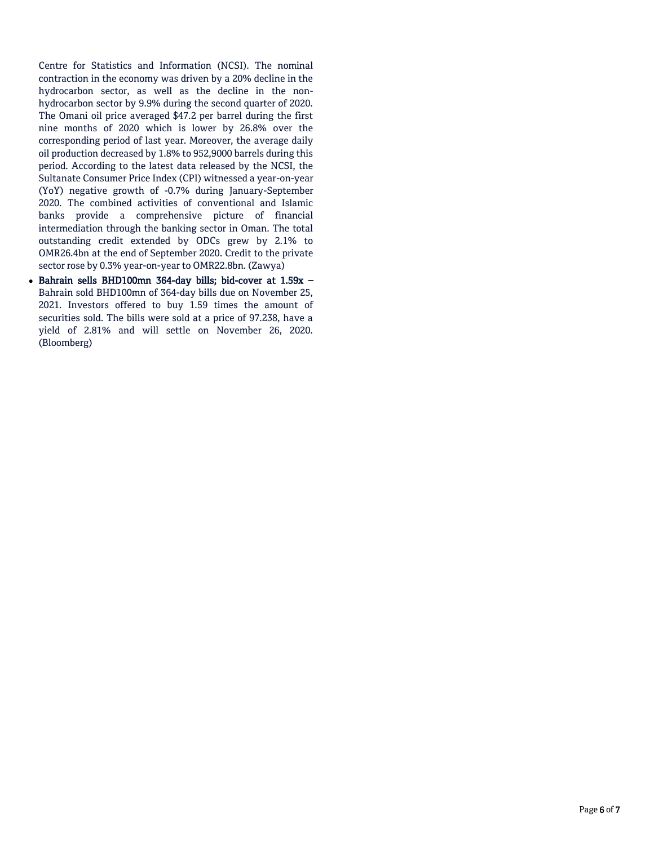Centre for Statistics and Information (NCSI). The nominal contraction in the economy was driven by a 20% decline in the hydrocarbon sector, as well as the decline in the nonhydrocarbon sector by 9.9% during the second quarter of 2020. The Omani oil price averaged \$47.2 per barrel during the first nine months of 2020 which is lower by 26.8% over the corresponding period of last year. Moreover, the average daily oil production decreased by 1.8% to 952,9000 barrels during this period. According to the latest data released by the NCSI, the Sultanate Consumer Price Index (CPI) witnessed a year-on-year (YoY) negative growth of -0.7% during January-September 2020. The combined activities of conventional and Islamic banks provide a comprehensive picture of financial intermediation through the banking sector in Oman. The total outstanding credit extended by ODCs grew by 2.1% to OMR26.4bn at the end of September 2020. Credit to the private sector rose by 0.3% year-on-year to OMR22.8bn. (Zawya)

 Bahrain sells BHD100mn 364-day bills; bid-cover at 1.59x – Bahrain sold BHD100mn of 364-day bills due on November 25, 2021. Investors offered to buy 1.59 times the amount of securities sold. The bills were sold at a price of 97.238, have a yield of 2.81% and will settle on November 26, 2020. (Bloomberg)